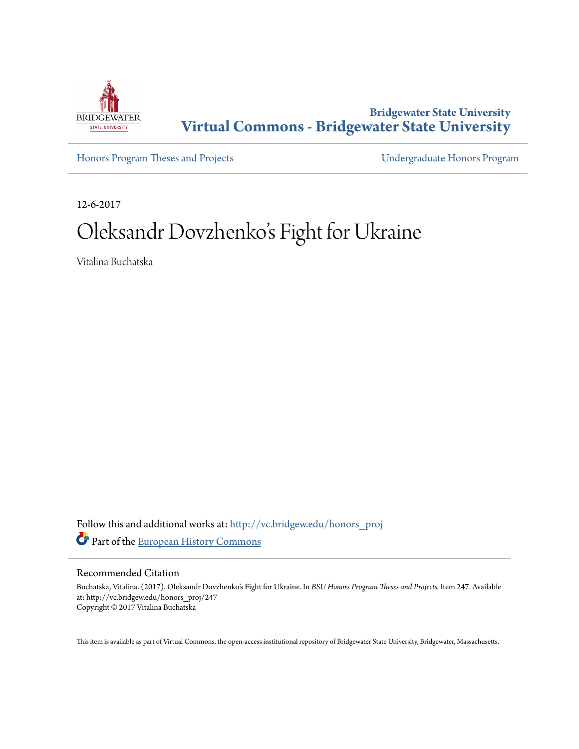

**Bridgewater State University [Virtual Commons - Bridgewater State University](http://vc.bridgew.edu?utm_source=vc.bridgew.edu%2Fhonors_proj%2F247&utm_medium=PDF&utm_campaign=PDFCoverPages)**

[Honors Program Theses and Projects](http://vc.bridgew.edu/honors_proj?utm_source=vc.bridgew.edu%2Fhonors_proj%2F247&utm_medium=PDF&utm_campaign=PDFCoverPages) [Undergraduate Honors Program](http://vc.bridgew.edu/honors?utm_source=vc.bridgew.edu%2Fhonors_proj%2F247&utm_medium=PDF&utm_campaign=PDFCoverPages)

12-6-2017

# Oleksandr Dovzhenko 's Fight for Ukraine

Vitalina Buchatska

Follow this and additional works at: [http://vc.bridgew.edu/honors\\_proj](http://vc.bridgew.edu/honors_proj?utm_source=vc.bridgew.edu%2Fhonors_proj%2F247&utm_medium=PDF&utm_campaign=PDFCoverPages) Part of the [European History Commons](http://network.bepress.com/hgg/discipline/492?utm_source=vc.bridgew.edu%2Fhonors_proj%2F247&utm_medium=PDF&utm_campaign=PDFCoverPages)

#### Recommended Citation

Buchatska, Vitalina. (2017). Oleksandr Dovzhenko's Fight for Ukraine. In *BSU Honors Program Theses and Projects.* Item 247. Available at: http://vc.bridgew.edu/honors\_proj/247 Copyright © 2017 Vitalina Buchatska

This item is available as part of Virtual Commons, the open-access institutional repository of Bridgewater State University, Bridgewater, Massachusetts.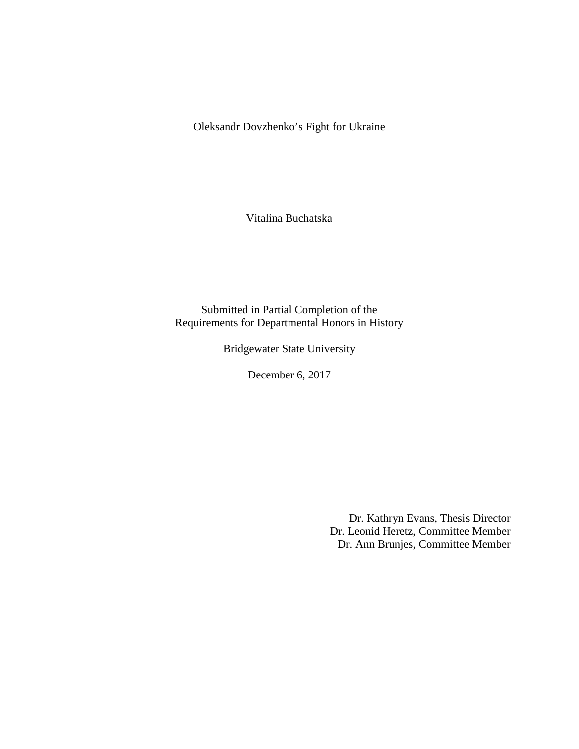Oleksandr Dovzhenko's Fight for Ukraine

Vitalina Buchatska

Submitted in Partial Completion of the Requirements for Departmental Honors in History

Bridgewater State University

December 6, 2017

Dr. Kathryn Evans, Thesis Director Dr. Leonid Heretz, Committee Member Dr. Ann Brunjes, Committee Member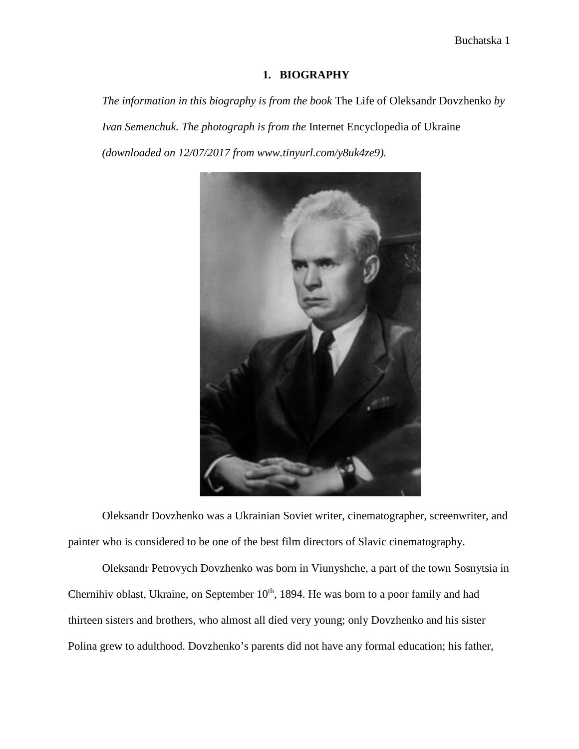## **1. BIOGRAPHY**

*The information in this biography is from the book* The Life of Oleksandr Dovzhenko *by Ivan Semenchuk. The photograph is from the* Internet Encyclopedia of Ukraine *(downloaded on 12/07/2017 from www.tinyurl.com/y8uk4ze9).*



Oleksandr Dovzhenko was a Ukrainian Soviet writer, cinematographer, screenwriter, and painter who is considered to be one of the best film directors of Slavic cinematography.

Oleksandr Petrovych Dovzhenko was born in Viunyshche, a part of the town Sosnytsia in Chernihiv oblast, Ukraine, on September 10<sup>th</sup>, 1894. He was born to a poor family and had thirteen sisters and brothers, who almost all died very young; only Dovzhenko and his sister Polina grew to adulthood. Dovzhenko's parents did not have any formal education; his father,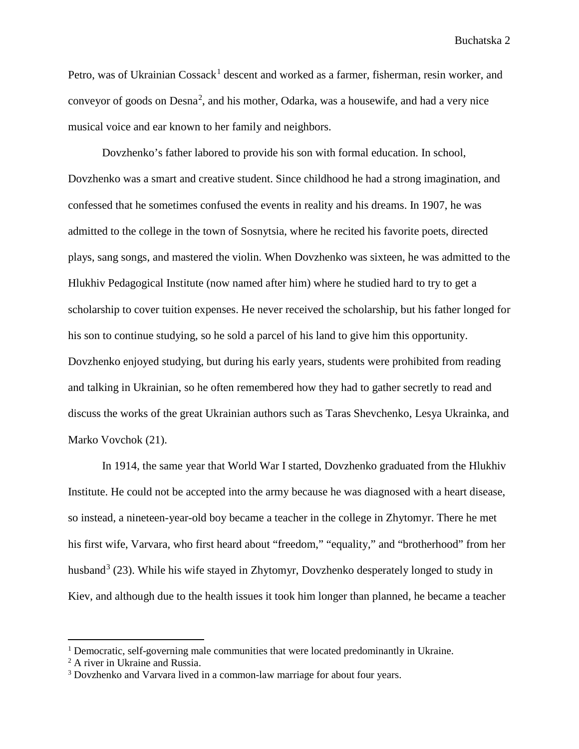Petro, was of Ukrainian  $\cos(\lambda)$  descent and worked as a farmer, fisherman, resin worker, and conveyor of goods on  $Desna<sup>2</sup>$  $Desna<sup>2</sup>$  $Desna<sup>2</sup>$ , and his mother, Odarka, was a housewife, and had a very nice musical voice and ear known to her family and neighbors.

Dovzhenko's father labored to provide his son with formal education. In school, Dovzhenko was a smart and creative student. Since childhood he had a strong imagination, and confessed that he sometimes confused the events in reality and his dreams. In 1907, he was admitted to the college in the town of Sosnytsia, where he recited his favorite poets, directed plays, sang songs, and mastered the violin. When Dovzhenko was sixteen, he was admitted to the Hlukhiv Pedagogical Institute (now named after him) where he studied hard to try to get a scholarship to cover tuition expenses. He never received the scholarship, but his father longed for his son to continue studying, so he sold a parcel of his land to give him this opportunity. Dovzhenko enjoyed studying, but during his early years, students were prohibited from reading and talking in Ukrainian, so he often remembered how they had to gather secretly to read and discuss the works of the great Ukrainian authors such as Taras Shevchenko, Lesya Ukrainka, and Marko Vovchok (21).

In 1914, the same year that World War I started, Dovzhenko graduated from the Hlukhiv Institute. He could not be accepted into the army because he was diagnosed with a heart disease, so instead, a nineteen-year-old boy became a teacher in the college in Zhytomyr. There he met his first wife, Varvara, who first heard about "freedom," "equality," and "brotherhood" from her husband<sup>[3](#page-3-2)</sup> (23). While his wife stayed in Zhytomyr, Dovzhenko desperately longed to study in Kiev, and although due to the health issues it took him longer than planned, he became a teacher

 $\overline{a}$ 

<span id="page-3-0"></span><sup>&</sup>lt;sup>1</sup> Democratic, self-governing male communities that were located predominantly in Ukraine.

<span id="page-3-1"></span><sup>&</sup>lt;sup>2</sup> A river in Ukraine and Russia.

<span id="page-3-2"></span><sup>&</sup>lt;sup>3</sup> Dovzhenko and Varvara lived in a common-law marriage for about four years.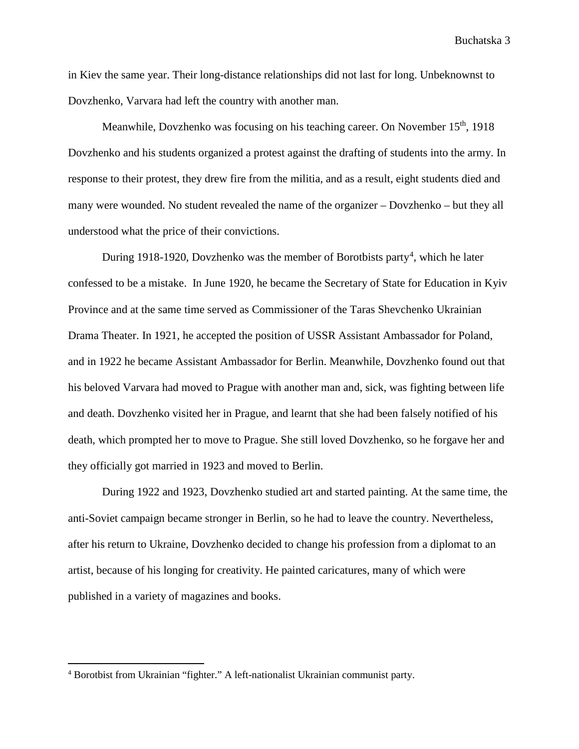in Kiev the same year. Their long-distance relationships did not last for long. Unbeknownst to Dovzhenko, Varvara had left the country with another man.

Meanwhile, Dovzhenko was focusing on his teaching career. On November 15<sup>th</sup>, 1918 Dovzhenko and his students organized a protest against the drafting of students into the army. In response to their protest, they drew fire from the militia, and as a result, eight students died and many were wounded. No student revealed the name of the organizer – Dovzhenko – but they all understood what the price of their convictions.

During 1918-1920, Dovzhenko was the member of Borotbists party<sup>[4](#page-4-0)</sup>, which he later confessed to be a mistake. In June 1920, he became the Secretary of State for Education in Kyiv Province and at the same time served as Commissioner of the Taras Shevchenko Ukrainian Drama Theater. In 1921, he accepted the position of USSR Assistant Ambassador for Poland, and in 1922 he became Assistant Ambassador for Berlin. Meanwhile, Dovzhenko found out that his beloved Varvara had moved to Prague with another man and, sick, was fighting between life and death. Dovzhenko visited her in Prague, and learnt that she had been falsely notified of his death, which prompted her to move to Prague. She still loved Dovzhenko, so he forgave her and they officially got married in 1923 and moved to Berlin.

During 1922 and 1923, Dovzhenko studied art and started painting. At the same time, the anti-Soviet campaign became stronger in Berlin, so he had to leave the country. Nevertheless, after his return to Ukraine, Dovzhenko decided to change his profession from a diplomat to an artist, because of his longing for creativity. He painted caricatures, many of which were published in a variety of magazines and books.

 $\overline{a}$ 

<span id="page-4-0"></span><sup>4</sup> Borotbist from Ukrainian "fighter." A left-nationalist Ukrainian communist party.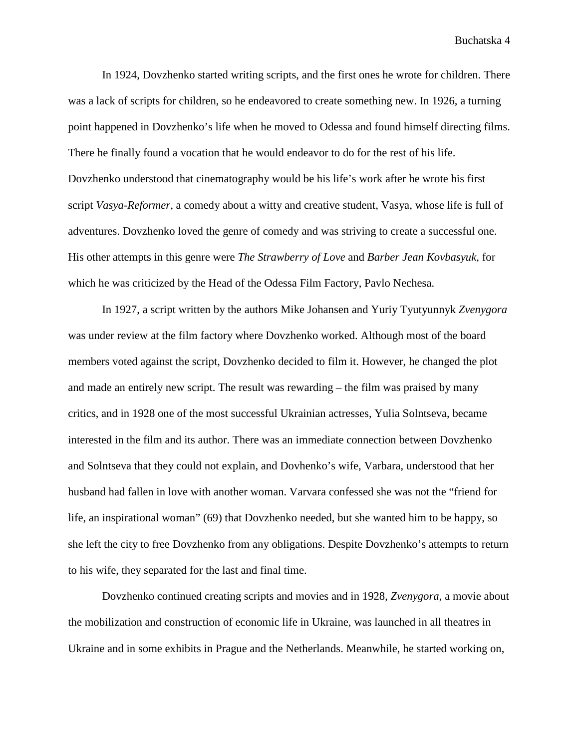In 1924, Dovzhenko started writing scripts, and the first ones he wrote for children. There was a lack of scripts for children, so he endeavored to create something new. In 1926, a turning point happened in Dovzhenko's life when he moved to Odessa and found himself directing films. There he finally found a vocation that he would endeavor to do for the rest of his life. Dovzhenko understood that cinematography would be his life's work after he wrote his first script *Vasya-Reformer*, a comedy about a witty and creative student, Vasya, whose life is full of adventures. Dovzhenko loved the genre of comedy and was striving to create a successful one. His other attempts in this genre were *The Strawberry of Love* and *Barber Jean Kovbasyuk,* for which he was criticized by the Head of the Odessa Film Factory, Pavlo Nechesa.

In 1927, a script written by the authors Mike Johansen and Yuriy Tyutyunnyk *Zvenygora* was under review at the film factory where Dovzhenko worked. Although most of the board members voted against the script, Dovzhenko decided to film it. However, he changed the plot and made an entirely new script. The result was rewarding – the film was praised by many critics, and in 1928 one of the most successful Ukrainian actresses, Yulia Solntseva, became interested in the film and its author. There was an immediate connection between Dovzhenko and Solntseva that they could not explain, and Dovhenko's wife, Varbara, understood that her husband had fallen in love with another woman. Varvara confessed she was not the "friend for life, an inspirational woman" (69) that Dovzhenko needed, but she wanted him to be happy, so she left the city to free Dovzhenko from any obligations. Despite Dovzhenko's attempts to return to his wife, they separated for the last and final time.

Dovzhenko continued creating scripts and movies and in 1928, *Zvenygora*, a movie about the mobilization and construction of economic life in Ukraine, was launched in all theatres in Ukraine and in some exhibits in Prague and the Netherlands. Meanwhile, he started working on,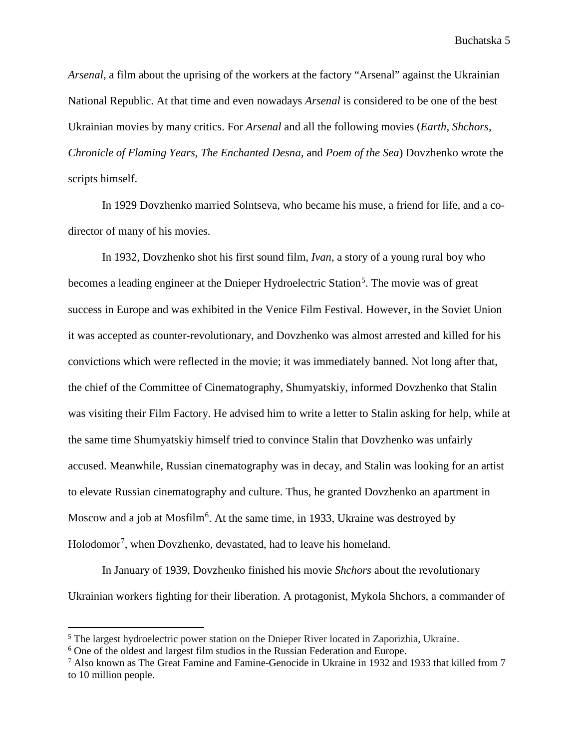*Arsenal*, a film about the uprising of the workers at the factory "Arsenal" against the Ukrainian National Republic. At that time and even nowadays *Arsenal* is considered to be one of the best Ukrainian movies by many critics. For *Arsenal* and all the following movies (*Earth, Shchors, Chronicle of Flaming Years, The Enchanted Desna,* and *Poem of the Sea*) Dovzhenko wrote the scripts himself.

In 1929 Dovzhenko married Solntseva, who became his muse, a friend for life, and a codirector of many of his movies.

In 1932, Dovzhenko shot his first sound film, *Ivan*, a story of a young rural boy who becomes a leading engineer at the Dnieper Hydroelectric Station<sup>[5](#page-6-0)</sup>. The movie was of great success in Europe and was exhibited in the Venice Film Festival. However, in the Soviet Union it was accepted as counter-revolutionary, and Dovzhenko was almost arrested and killed for his convictions which were reflected in the movie; it was immediately banned. Not long after that, the chief of the Committee of Cinematography, Shumyatskiy, informed Dovzhenko that Stalin was visiting their Film Factory. He advised him to write a letter to Stalin asking for help, while at the same time Shumyatskiy himself tried to convince Stalin that Dovzhenko was unfairly accused. Meanwhile, Russian cinematography was in decay, and Stalin was looking for an artist to elevate Russian cinematography and culture. Thus, he granted Dovzhenko an apartment in Moscow and a job at Mosfilm<sup>[6](#page-6-1)</sup>. At the same time, in 1933, Ukraine was destroyed by Holodomor<sup>[7](#page-6-2)</sup>, when Dovzhenko, devastated, had to leave his homeland.

In January of 1939, Dovzhenko finished his movie *Shchors* about the revolutionary Ukrainian workers fighting for their liberation. A protagonist, Mykola Shchors, a commander of

 $\overline{a}$ 

<span id="page-6-0"></span><sup>&</sup>lt;sup>5</sup> The largest hydroelectric power station on the Dnieper River located in Zaporizhia, Ukraine.

<span id="page-6-1"></span><sup>6</sup> One of the oldest and largest film studios in the Russian Federation and Europe.

<span id="page-6-2"></span><sup>7</sup> Also known as The Great Famine and Famine-Genocide in Ukraine in 1932 and 1933 that killed from 7 to 10 million people.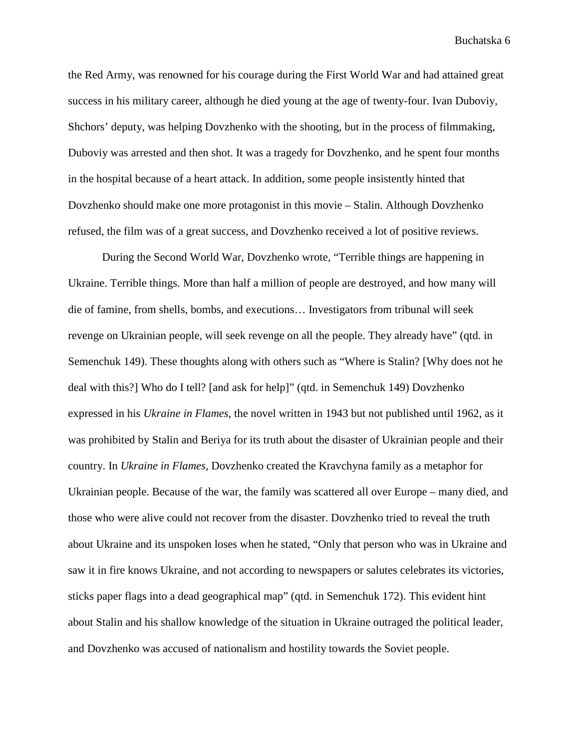the Red Army, was renowned for his courage during the First World War and had attained great success in his military career, although he died young at the age of twenty-four. Ivan Duboviy, Shchors' deputy, was helping Dovzhenko with the shooting, but in the process of filmmaking, Duboviy was arrested and then shot. It was a tragedy for Dovzhenko, and he spent four months in the hospital because of a heart attack. In addition, some people insistently hinted that Dovzhenko should make one more protagonist in this movie – Stalin. Although Dovzhenko refused, the film was of a great success, and Dovzhenko received a lot of positive reviews.

During the Second World War, Dovzhenko wrote, "Terrible things are happening in Ukraine. Terrible things. More than half a million of people are destroyed, and how many will die of famine, from shells, bombs, and executions… Investigators from tribunal will seek revenge on Ukrainian people, will seek revenge on all the people. They already have" (qtd. in Semenchuk 149). These thoughts along with others such as "Where is Stalin? [Why does not he deal with this?] Who do I tell? [and ask for help]" (qtd. in Semenchuk 149) Dovzhenko expressed in his *Ukraine in Flames*, the novel written in 1943 but not published until 1962, as it was prohibited by Stalin and Beriya for its truth about the disaster of Ukrainian people and their country. In *Ukraine in Flames,* Dovzhenko created the Kravchyna family as a metaphor for Ukrainian people. Because of the war, the family was scattered all over Europe – many died, and those who were alive could not recover from the disaster. Dovzhenko tried to reveal the truth about Ukraine and its unspoken loses when he stated, "Only that person who was in Ukraine and saw it in fire knows Ukraine, and not according to newspapers or salutes celebrates its victories, sticks paper flags into a dead geographical map" (qtd. in Semenchuk 172). This evident hint about Stalin and his shallow knowledge of the situation in Ukraine outraged the political leader, and Dovzhenko was accused of nationalism and hostility towards the Soviet people.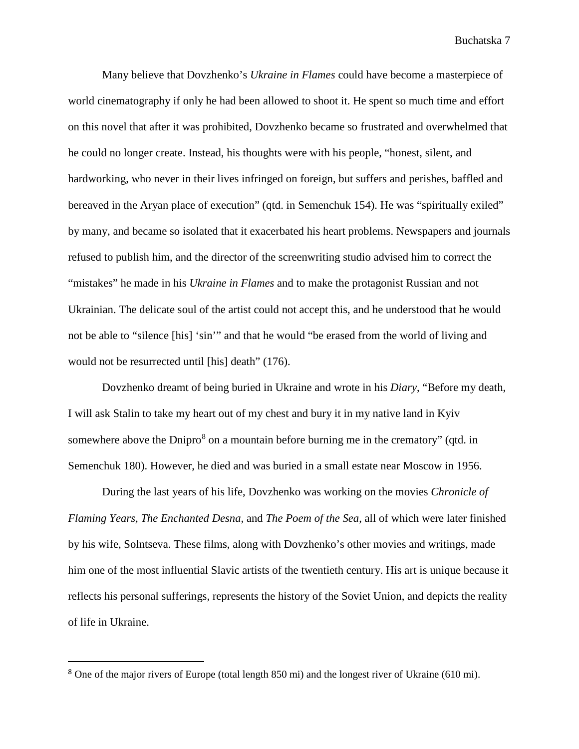Many believe that Dovzhenko's *Ukraine in Flames* could have become a masterpiece of world cinematography if only he had been allowed to shoot it. He spent so much time and effort on this novel that after it was prohibited, Dovzhenko became so frustrated and overwhelmed that he could no longer create. Instead, his thoughts were with his people, "honest, silent, and hardworking, who never in their lives infringed on foreign, but suffers and perishes, baffled and bereaved in the Aryan place of execution" (qtd. in Semenchuk 154). He was "spiritually exiled" by many, and became so isolated that it exacerbated his heart problems. Newspapers and journals refused to publish him, and the director of the screenwriting studio advised him to correct the "mistakes" he made in his *Ukraine in Flames* and to make the protagonist Russian and not Ukrainian. The delicate soul of the artist could not accept this, and he understood that he would not be able to "silence [his] 'sin'" and that he would "be erased from the world of living and would not be resurrected until [his] death" (176).

Dovzhenko dreamt of being buried in Ukraine and wrote in his *Diary*, "Before my death, I will ask Stalin to take my heart out of my chest and bury it in my native land in Kyiv somewhere above the Dnipro<sup>[8](#page-8-0)</sup> on a mountain before burning me in the crematory" (qtd. in Semenchuk 180). However, he died and was buried in a small estate near Moscow in 1956.

During the last years of his life, Dovzhenko was working on the movies *Chronicle of Flaming Years, The Enchanted Desna,* and *The Poem of the Sea*, all of which were later finished by his wife, Solntseva. These films, along with Dovzhenko's other movies and writings, made him one of the most influential Slavic artists of the twentieth century. His art is unique because it reflects his personal sufferings, represents the history of the Soviet Union, and depicts the reality of life in Ukraine.

<span id="page-8-0"></span><sup>&</sup>lt;sup>8</sup> One of the major rivers of Europe (total length 850 mi) and the longest river of Ukraine (610 mi).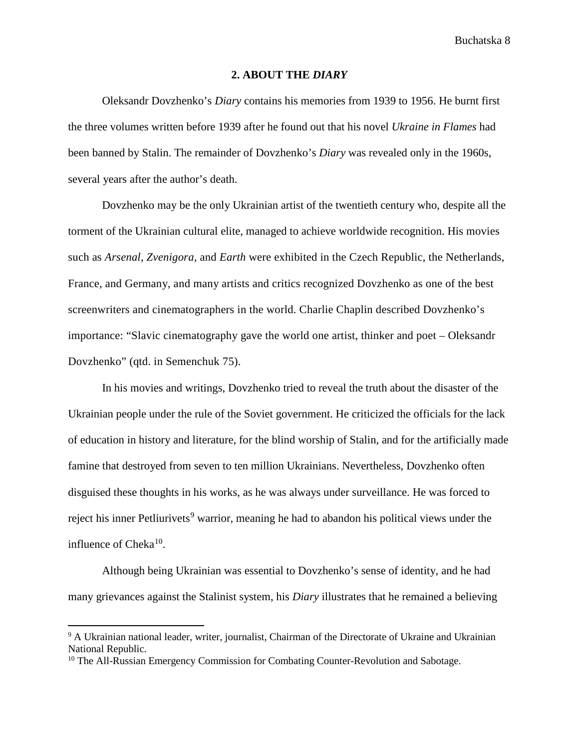#### **2. ABOUT THE** *DIARY*

Oleksandr Dovzhenko's *Diary* contains his memories from 1939 to 1956. He burnt first the three volumes written before 1939 after he found out that his novel *Ukraine in Flames* had been banned by Stalin. The remainder of Dovzhenko's *Diary* was revealed only in the 1960s, several years after the author's death.

Dovzhenko may be the only Ukrainian artist of the twentieth century who, despite all the torment of the Ukrainian cultural elite, managed to achieve worldwide recognition. His movies such as *Arsenal, Zvenigora,* and *Earth* were exhibited in the Czech Republic, the Netherlands, France, and Germany, and many artists and critics recognized Dovzhenko as one of the best screenwriters and cinematographers in the world. Charlie Chaplin described Dovzhenko's importance: "Slavic cinematography gave the world one artist, thinker and poet – Oleksandr Dovzhenko" (qtd. in Semenchuk 75).

In his movies and writings, Dovzhenko tried to reveal the truth about the disaster of the Ukrainian people under the rule of the Soviet government. He criticized the officials for the lack of education in history and literature, for the blind worship of Stalin, and for the artificially made famine that destroyed from seven to ten million Ukrainians. Nevertheless, Dovzhenko often disguised these thoughts in his works, as he was always under surveillance. He was forced to reject his inner Petliurivets<sup>[9](#page-9-0)</sup> warrior, meaning he had to abandon his political views under the influence of  $Cheka^{10}$ .

Although being Ukrainian was essential to Dovzhenko's sense of identity, and he had many grievances against the Stalinist system, his *Diary* illustrates that he remained a believing

 $\overline{a}$ 

<span id="page-9-0"></span><sup>9</sup> A Ukrainian national leader, writer, journalist, Chairman of the Directorate of Ukraine and Ukrainian National Republic.

<span id="page-9-1"></span><sup>&</sup>lt;sup>10</sup> The All-Russian Emergency Commission for Combating Counter-Revolution and Sabotage.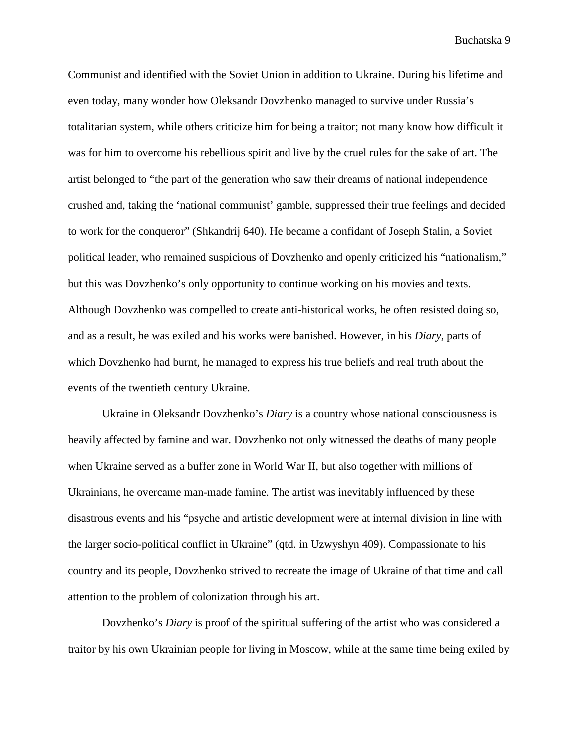Communist and identified with the Soviet Union in addition to Ukraine. During his lifetime and even today, many wonder how Oleksandr Dovzhenko managed to survive under Russia's totalitarian system, while others criticize him for being a traitor; not many know how difficult it was for him to overcome his rebellious spirit and live by the cruel rules for the sake of art. The artist belonged to "the part of the generation who saw their dreams of national independence crushed and, taking the 'national communist' gamble, suppressed their true feelings and decided to work for the conqueror" (Shkandrij 640). He became a confidant of Joseph Stalin, a Soviet political leader, who remained suspicious of Dovzhenko and openly criticized his "nationalism," but this was Dovzhenko's only opportunity to continue working on his movies and texts. Although Dovzhenko was compelled to create anti-historical works, he often resisted doing so, and as a result, he was exiled and his works were banished. However, in his *Diary*, parts of which Dovzhenko had burnt, he managed to express his true beliefs and real truth about the events of the twentieth century Ukraine.

Ukraine in Oleksandr Dovzhenko's *Diary* is a country whose national consciousness is heavily affected by famine and war. Dovzhenko not only witnessed the deaths of many people when Ukraine served as a buffer zone in World War II, but also together with millions of Ukrainians, he overcame man-made famine. The artist was inevitably influenced by these disastrous events and his "psyche and artistic development were at internal division in line with the larger socio-political conflict in Ukraine" (qtd. in Uzwyshyn 409). Compassionate to his country and its people, Dovzhenko strived to recreate the image of Ukraine of that time and call attention to the problem of colonization through his art.

Dovzhenko's *Diary* is proof of the spiritual suffering of the artist who was considered a traitor by his own Ukrainian people for living in Moscow, while at the same time being exiled by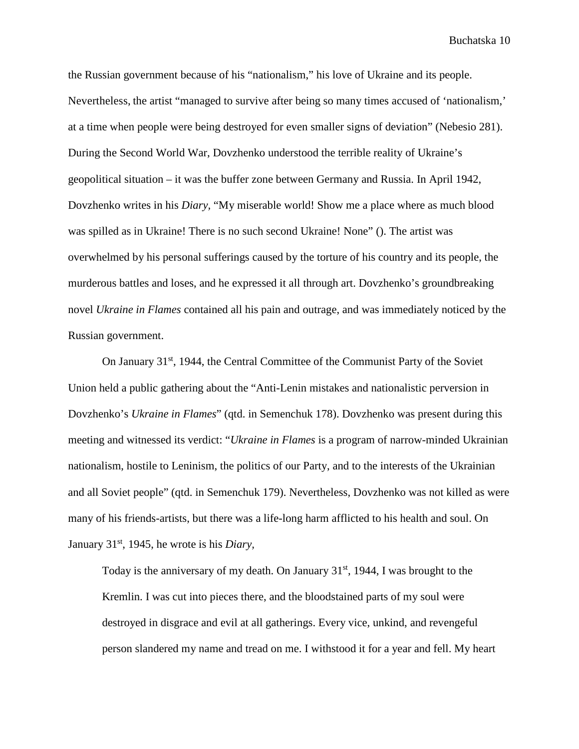the Russian government because of his "nationalism," his love of Ukraine and its people. Nevertheless, the artist "managed to survive after being so many times accused of 'nationalism,' at a time when people were being destroyed for even smaller signs of deviation" (Nebesio 281). During the Second World War, Dovzhenko understood the terrible reality of Ukraine's geopolitical situation – it was the buffer zone between Germany and Russia. In April 1942, Dovzhenko writes in his *Diary,* "My miserable world! Show me a place where as much blood was spilled as in Ukraine! There is no such second Ukraine! None" (). The artist was overwhelmed by his personal sufferings caused by the torture of his country and its people, the murderous battles and loses, and he expressed it all through art. Dovzhenko's groundbreaking novel *Ukraine in Flames* contained all his pain and outrage, and was immediately noticed by the Russian government.

On January  $31<sup>st</sup>$ , 1944, the Central Committee of the Communist Party of the Soviet Union held a public gathering about the "Anti-Lenin mistakes and nationalistic perversion in Dovzhenko's *Ukraine in Flames*" (qtd. in Semenchuk 178). Dovzhenko was present during this meeting and witnessed its verdict: "*Ukraine in Flames* is a program of narrow-minded Ukrainian nationalism, hostile to Leninism, the politics of our Party, and to the interests of the Ukrainian and all Soviet people" (qtd. in Semenchuk 179). Nevertheless, Dovzhenko was not killed as were many of his friends-artists, but there was a life-long harm afflicted to his health and soul. On January 31st, 1945, he wrote is his *Diary,*

Today is the anniversary of my death. On January  $31<sup>st</sup>$ , 1944, I was brought to the Kremlin. I was cut into pieces there, and the bloodstained parts of my soul were destroyed in disgrace and evil at all gatherings. Every vice, unkind, and revengeful person slandered my name and tread on me. I withstood it for a year and fell. My heart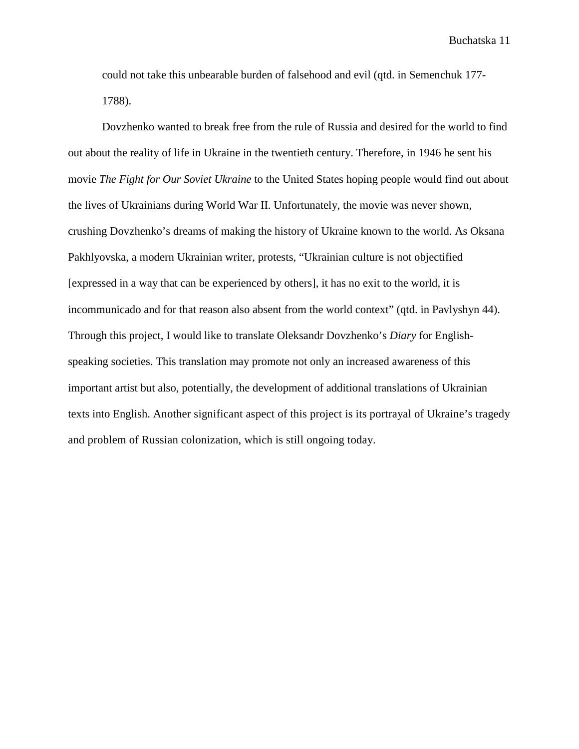could not take this unbearable burden of falsehood and evil (qtd. in Semenchuk 177- 1788).

Dovzhenko wanted to break free from the rule of Russia and desired for the world to find out about the reality of life in Ukraine in the twentieth century. Therefore, in 1946 he sent his movie *The Fight for Our Soviet Ukraine* to the United States hoping people would find out about the lives of Ukrainians during World War II. Unfortunately, the movie was never shown, crushing Dovzhenko's dreams of making the history of Ukraine known to the world. As Oksana Pakhlyovska, a modern Ukrainian writer, protests, "Ukrainian culture is not objectified [expressed in a way that can be experienced by others], it has no exit to the world, it is incommunicado and for that reason also absent from the world context" (qtd. in Pavlyshyn 44). Through this project, I would like to translate Oleksandr Dovzhenko's *Diary* for Englishspeaking societies. This translation may promote not only an increased awareness of this important artist but also, potentially, the development of additional translations of Ukrainian texts into English. Another significant aspect of this project is its portrayal of Ukraine's tragedy and problem of Russian colonization, which is still ongoing today.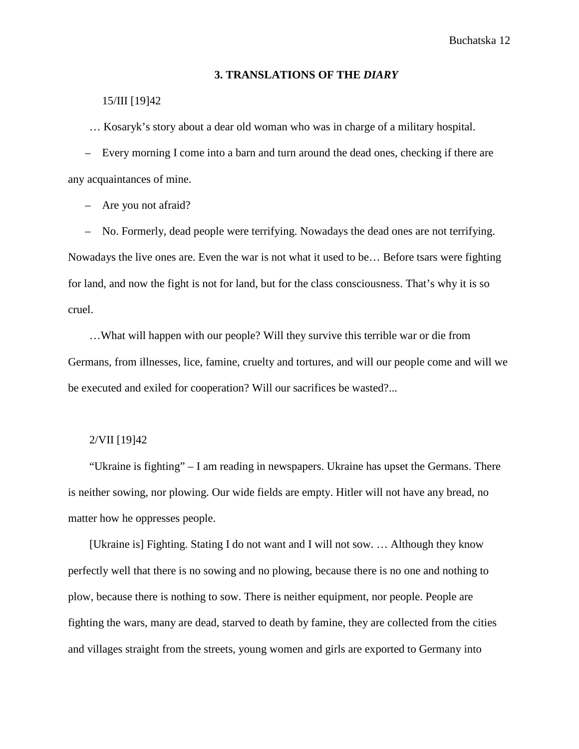#### **3. TRANSLATIONS OF THE** *DIARY*

## 15/III [19]42

… Kosaryk's story about a dear old woman who was in charge of a military hospital.

– Every morning I come into a barn and turn around the dead ones, checking if there are any acquaintances of mine.

– Are you not afraid?

– No. Formerly, dead people were terrifying. Nowadays the dead ones are not terrifying. Nowadays the live ones are. Even the war is not what it used to be… Before tsars were fighting for land, and now the fight is not for land, but for the class consciousness. That's why it is so cruel.

…What will happen with our people? Will they survive this terrible war or die from Germans, from illnesses, lice, famine, cruelty and tortures, and will our people come and will we be executed and exiled for cooperation? Will our sacrifices be wasted?...

#### 2/VII [19]42

"Ukraine is fighting" – I am reading in newspapers. Ukraine has upset the Germans. There is neither sowing, nor plowing. Our wide fields are empty. Hitler will not have any bread, no matter how he oppresses people.

[Ukraine is] Fighting. Stating I do not want and I will not sow. … Although they know perfectly well that there is no sowing and no plowing, because there is no one and nothing to plow, because there is nothing to sow. There is neither equipment, nor people. People are fighting the wars, many are dead, starved to death by famine, they are collected from the cities and villages straight from the streets, young women and girls are exported to Germany into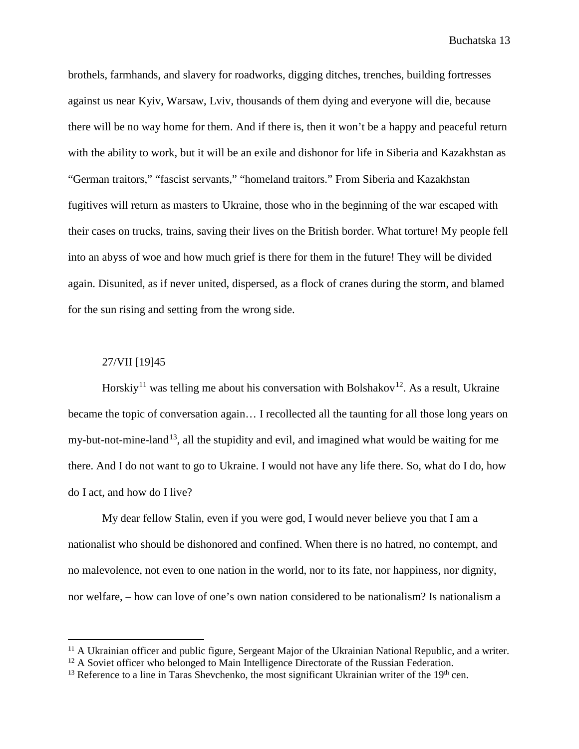brothels, farmhands, and slavery for roadworks, digging ditches, trenches, building fortresses against us near Kyiv, Warsaw, Lviv, thousands of them dying and everyone will die, because there will be no way home for them. And if there is, then it won't be a happy and peaceful return with the ability to work, but it will be an exile and dishonor for life in Siberia and Kazakhstan as "German traitors," "fascist servants," "homeland traitors." From Siberia and Kazakhstan fugitives will return as masters to Ukraine, those who in the beginning of the war escaped with their cases on trucks, trains, saving their lives on the British border. What torture! My people fell into an abyss of woe and how much grief is there for them in the future! They will be divided again. Disunited, as if never united, dispersed, as a flock of cranes during the storm, and blamed for the sun rising and setting from the wrong side.

## 27/VII [19]45

 $\overline{a}$ 

Horskiy<sup>[11](#page-14-0)</sup> was telling me about his conversation with Bolshakov<sup>12</sup>. As a result, Ukraine became the topic of conversation again… I recollected all the taunting for all those long years on my-but-not-mine-land<sup>[13](#page-14-2)</sup>, all the stupidity and evil, and imagined what would be waiting for me there. And I do not want to go to Ukraine. I would not have any life there. So, what do I do, how do I act, and how do I live?

My dear fellow Stalin, even if you were god, I would never believe you that I am a nationalist who should be dishonored and confined. When there is no hatred, no contempt, and no malevolence, not even to one nation in the world, nor to its fate, nor happiness, nor dignity, nor welfare, – how can love of one's own nation considered to be nationalism? Is nationalism a

<span id="page-14-0"></span> $11$  A Ukrainian officer and public figure, Sergeant Major of the Ukrainian National Republic, and a writer.

<span id="page-14-1"></span><sup>&</sup>lt;sup>12</sup> A Soviet officer who belonged to Main Intelligence Directorate of the Russian Federation.

<span id="page-14-2"></span> $13$  Reference to a line in Taras Shevchenko, the most significant Ukrainian writer of the  $19<sup>th</sup>$  cen.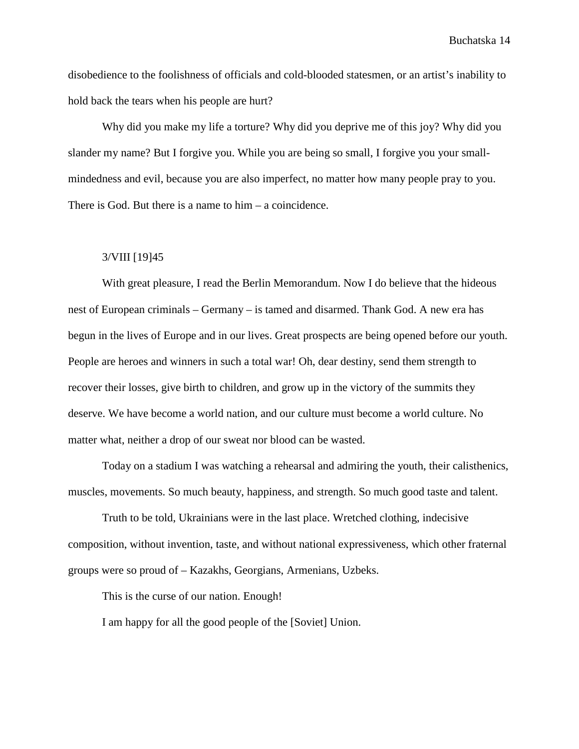disobedience to the foolishness of officials and cold-blooded statesmen, or an artist's inability to hold back the tears when his people are hurt?

Why did you make my life a torture? Why did you deprive me of this joy? Why did you slander my name? But I forgive you. While you are being so small, I forgive you your smallmindedness and evil, because you are also imperfect, no matter how many people pray to you. There is God. But there is a name to him – a coincidence.

## 3/VIII [19]45

With great pleasure, I read the Berlin Memorandum. Now I do believe that the hideous nest of European criminals – Germany – is tamed and disarmed. Thank God. A new era has begun in the lives of Europe and in our lives. Great prospects are being opened before our youth. People are heroes and winners in such a total war! Oh, dear destiny, send them strength to recover their losses, give birth to children, and grow up in the victory of the summits they deserve. We have become a world nation, and our culture must become a world culture. No matter what, neither a drop of our sweat nor blood can be wasted.

Today on a stadium I was watching a rehearsal and admiring the youth, their calisthenics, muscles, movements. So much beauty, happiness, and strength. So much good taste and talent.

Truth to be told, Ukrainians were in the last place. Wretched clothing, indecisive composition, without invention, taste, and without national expressiveness, which other fraternal groups were so proud of – Kazakhs, Georgians, Armenians, Uzbeks.

This is the curse of our nation. Enough!

I am happy for all the good people of the [Soviet] Union.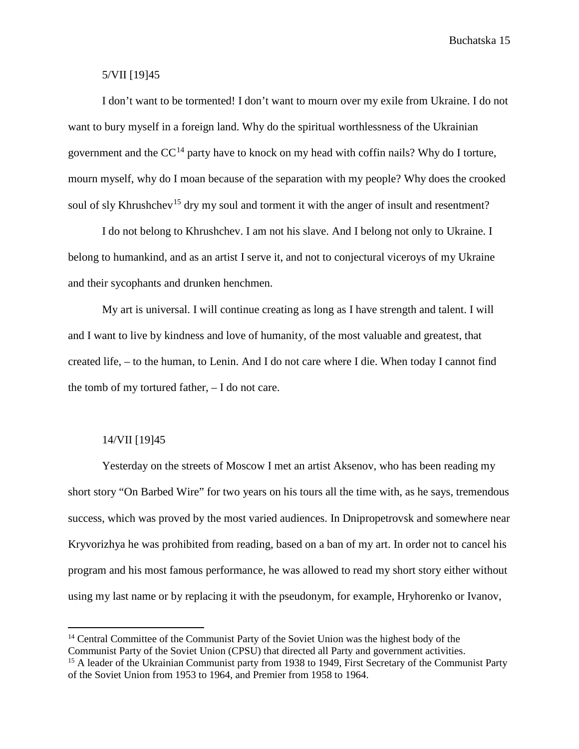## 5/VII [19]45

I don't want to be tormented! I don't want to mourn over my exile from Ukraine. I do not want to bury myself in a foreign land. Why do the spiritual worthlessness of the Ukrainian government and the  $CC^{14}$  $CC^{14}$  $CC^{14}$  party have to knock on my head with coffin nails? Why do I torture, mourn myself, why do I moan because of the separation with my people? Why does the crooked soul of sly Khrushchev<sup>[15](#page-16-1)</sup> dry my soul and torment it with the anger of insult and resentment?

I do not belong to Khrushchev. I am not his slave. And I belong not only to Ukraine. I belong to humankind, and as an artist I serve it, and not to conjectural viceroys of my Ukraine and their sycophants and drunken henchmen.

My art is universal. I will continue creating as long as I have strength and talent. I will and I want to live by kindness and love of humanity, of the most valuable and greatest, that created life, – to the human, to Lenin. And I do not care where I die. When today I cannot find the tomb of my tortured father, – I do not care.

## 14/VII [19]45

 $\overline{a}$ 

Yesterday on the streets of Moscow I met an artist Aksenov, who has been reading my short story "On Barbed Wire" for two years on his tours all the time with, as he says, tremendous success, which was proved by the most varied audiences. In Dnipropetrovsk and somewhere near Kryvorizhya he was prohibited from reading, based on a ban of my art. In order not to cancel his program and his most famous performance, he was allowed to read my short story either without using my last name or by replacing it with the pseudonym, for example, Hryhorenko or Ivanov,

<span id="page-16-0"></span><sup>&</sup>lt;sup>14</sup> Central Committee of the Communist Party of the Soviet Union was the highest body of the Communist Party of the Soviet Union (CPSU) that directed all Party and government activities.

<span id="page-16-1"></span><sup>&</sup>lt;sup>15</sup> A leader of the Ukrainian Communist party from 1938 to 1949, First Secretary of the Communist Party of the Soviet Union from 1953 to 1964, and Premier from 1958 to 1964.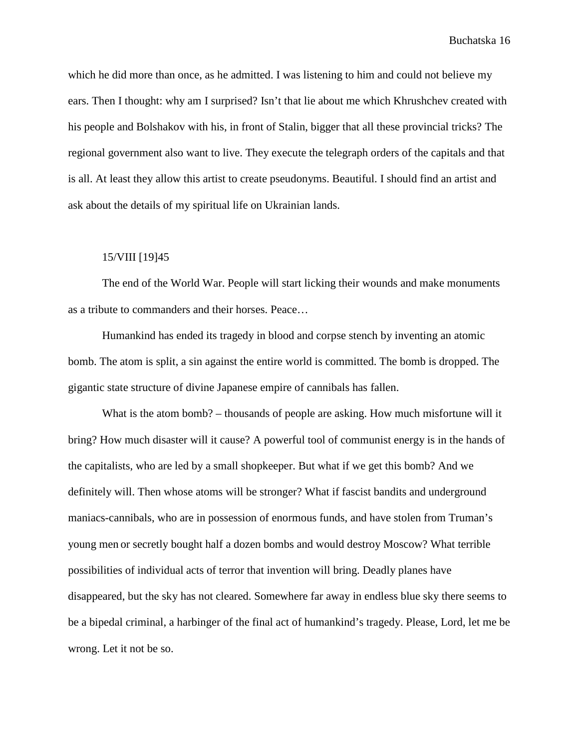which he did more than once, as he admitted. I was listening to him and could not believe my ears. Then I thought: why am I surprised? Isn't that lie about me which Khrushchev created with his people and Bolshakov with his, in front of Stalin, bigger that all these provincial tricks? The regional government also want to live. They execute the telegraph orders of the capitals and that is all. At least they allow this artist to create pseudonyms. Beautiful. I should find an artist and ask about the details of my spiritual life on Ukrainian lands.

## 15/VIII [19]45

The end of the World War. People will start licking their wounds and make monuments as a tribute to commanders and their horses. Peace…

Humankind has ended its tragedy in blood and corpse stench by inventing an atomic bomb. The atom is split, a sin against the entire world is committed. The bomb is dropped. The gigantic state structure of divine Japanese empire of cannibals has fallen.

What is the atom bomb? – thousands of people are asking. How much misfortune will it bring? How much disaster will it cause? A powerful tool of communist energy is in the hands of the capitalists, who are led by a small shopkeeper. But what if we get this bomb? And we definitely will. Then whose atoms will be stronger? What if fascist bandits and underground maniacs-cannibals, who are in possession of enormous funds, and have stolen from Truman's young men or secretly bought half a dozen bombs and would destroy Moscow? What terrible possibilities of individual acts of terror that invention will bring. Deadly planes have disappeared, but the sky has not cleared. Somewhere far away in endless blue sky there seems to be a bipedal criminal, a harbinger of the final act of humankind's tragedy. Please, Lord, let me be wrong. Let it not be so.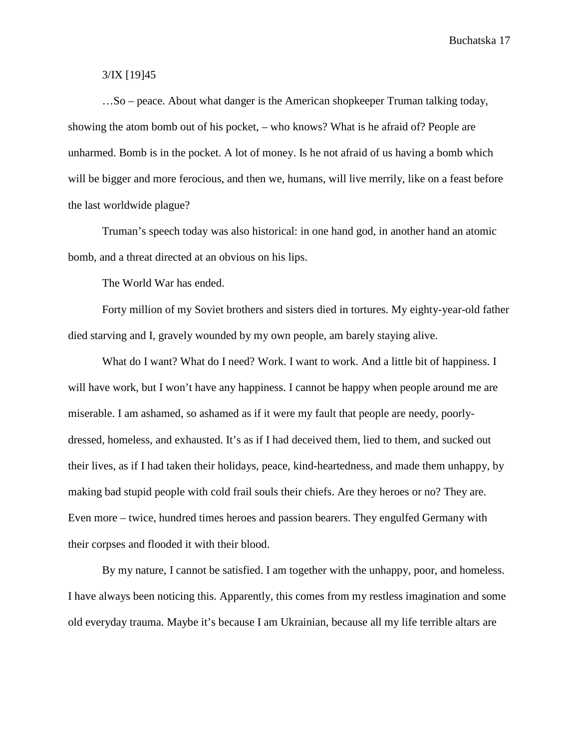## 3/IX [19]45

…So – peace. About what danger is the American shopkeeper Truman talking today, showing the atom bomb out of his pocket, – who knows? What is he afraid of? People are unharmed. Bomb is in the pocket. A lot of money. Is he not afraid of us having a bomb which will be bigger and more ferocious, and then we, humans, will live merrily, like on a feast before the last worldwide plague?

Truman's speech today was also historical: in one hand god, in another hand an atomic bomb, and a threat directed at an obvious on his lips.

The World War has ended.

Forty million of my Soviet brothers and sisters died in tortures. My eighty-year-old father died starving and I, gravely wounded by my own people, am barely staying alive.

What do I want? What do I need? Work. I want to work. And a little bit of happiness. I will have work, but I won't have any happiness. I cannot be happy when people around me are miserable. I am ashamed, so ashamed as if it were my fault that people are needy, poorlydressed, homeless, and exhausted. It's as if I had deceived them, lied to them, and sucked out their lives, as if I had taken their holidays, peace, kind-heartedness, and made them unhappy, by making bad stupid people with cold frail souls their chiefs. Are they heroes or no? They are. Even more – twice, hundred times heroes and passion bearers. They engulfed Germany with their corpses and flooded it with their blood.

By my nature, I cannot be satisfied. I am together with the unhappy, poor, and homeless. I have always been noticing this. Apparently, this comes from my restless imagination and some old everyday trauma. Maybe it's because I am Ukrainian, because all my life terrible altars are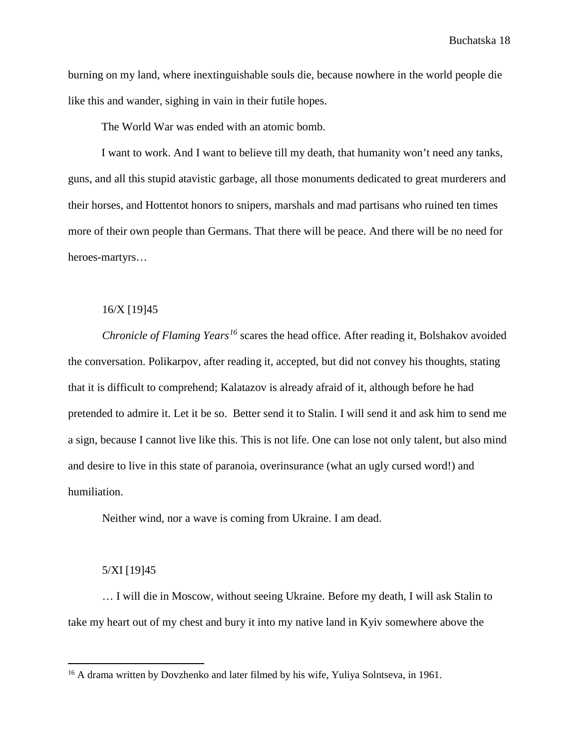burning on my land, where inextinguishable souls die, because nowhere in the world people die like this and wander, sighing in vain in their futile hopes.

The World War was ended with an atomic bomb.

I want to work. And I want to believe till my death, that humanity won't need any tanks, guns, and all this stupid atavistic garbage, all those monuments dedicated to great murderers and their horses, and Hottentot honors to snipers, marshals and mad partisans who ruined ten times more of their own people than Germans. That there will be peace. And there will be no need for heroes-martyrs…

## 16/X [19]45

*Chronicle of Flaming Years[16](#page-19-0)* scares the head office. After reading it, Bolshakov avoided the conversation. Polikarpov, after reading it, accepted, but did not convey his thoughts, stating that it is difficult to comprehend; Kalatazov is already afraid of it, although before he had pretended to admire it. Let it be so. Better send it to Stalin. I will send it and ask him to send me a sign, because I cannot live like this. This is not life. One can lose not only talent, but also mind and desire to live in this state of paranoia, overinsurance (what an ugly cursed word!) and humiliation.

Neither wind, nor a wave is coming from Ukraine. I am dead.

#### 5/XI [19]45

 $\overline{a}$ 

… I will die in Moscow, without seeing Ukraine. Before my death, I will ask Stalin to take my heart out of my chest and bury it into my native land in Kyiv somewhere above the

<span id="page-19-0"></span><sup>&</sup>lt;sup>16</sup> A drama written by Dovzhenko and later filmed by his wife, Yuliya Solntseva, in 1961.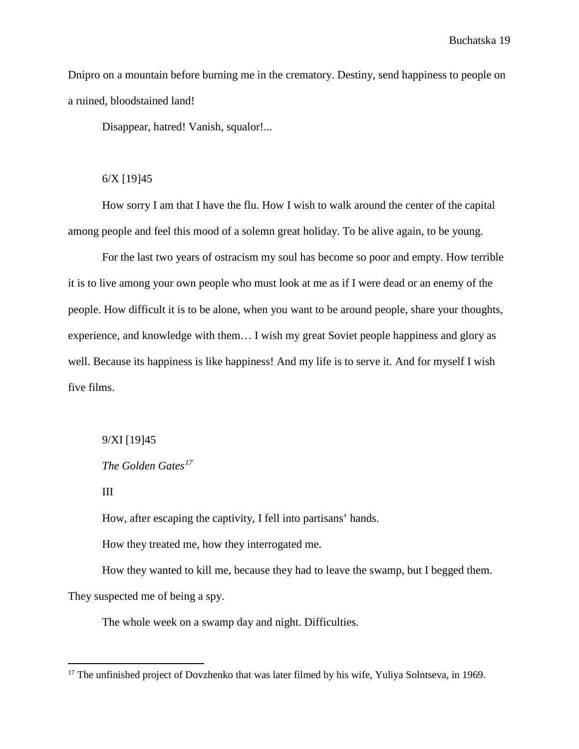Dnipro on a mountain before burning me in the crematory. Destiny, send happiness to people on a ruined, bloodstained land!

Disappear, hatred! Vanish, squalor!...

## 6/X [19]45

How sorry I am that I have the flu. How I wish to walk around the center of the capital among people and feel this mood of a solemn great holiday. To be alive again, to be young.

For the last two years of ostracism my soul has become so poor and empty. How terrible it is to live among your own people who must look at me as if I were dead or an enemy of the people. How difficult it is to be alone, when you want to be around people, share your thoughts, experience, and knowledge with them… I wish my great Soviet people happiness and glory as well. Because its happiness is like happiness! And my life is to serve it. And for myself I wish five films.

## 9/XI [19]45

*The Golden Gates[17](#page-20-0)*

III

 $\overline{a}$ 

How, after escaping the captivity, I fell into partisans' hands.

How they treated me, how they interrogated me.

How they wanted to kill me, because they had to leave the swamp, but I begged them. They suspected me of being a spy.

The whole week on a swamp day and night. Difficulties.

<span id="page-20-0"></span><sup>&</sup>lt;sup>17</sup> The unfinished project of Dovzhenko that was later filmed by his wife, Yuliya Solntseva, in 1969.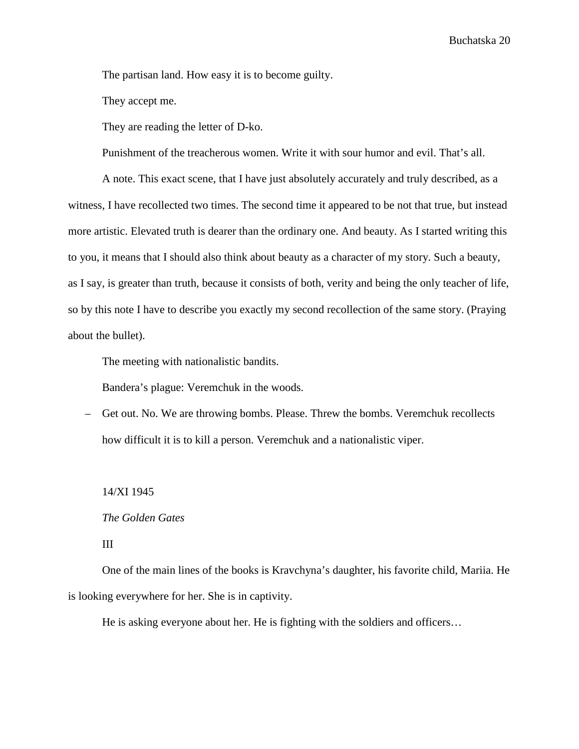The partisan land. How easy it is to become guilty.

They accept me.

They are reading the letter of D-ko.

Punishment of the treacherous women. Write it with sour humor and evil. That's all.

A note. This exact scene, that I have just absolutely accurately and truly described, as a witness, I have recollected two times. The second time it appeared to be not that true, but instead more artistic. Elevated truth is dearer than the ordinary one. And beauty. As I started writing this to you, it means that I should also think about beauty as a character of my story. Such a beauty, as I say, is greater than truth, because it consists of both, verity and being the only teacher of life, so by this note I have to describe you exactly my second recollection of the same story. (Praying about the bullet).

The meeting with nationalistic bandits.

Bandera's plague: Veremchuk in the woods.

– Get out. No. We are throwing bombs. Please. Threw the bombs. Veremchuk recollects how difficult it is to kill a person. Veremchuk and a nationalistic viper.

14/XI 1945

#### *The Golden Gates*

III

One of the main lines of the books is Kravchyna's daughter, his favorite child, Mariia. He is looking everywhere for her. She is in captivity.

He is asking everyone about her. He is fighting with the soldiers and officers…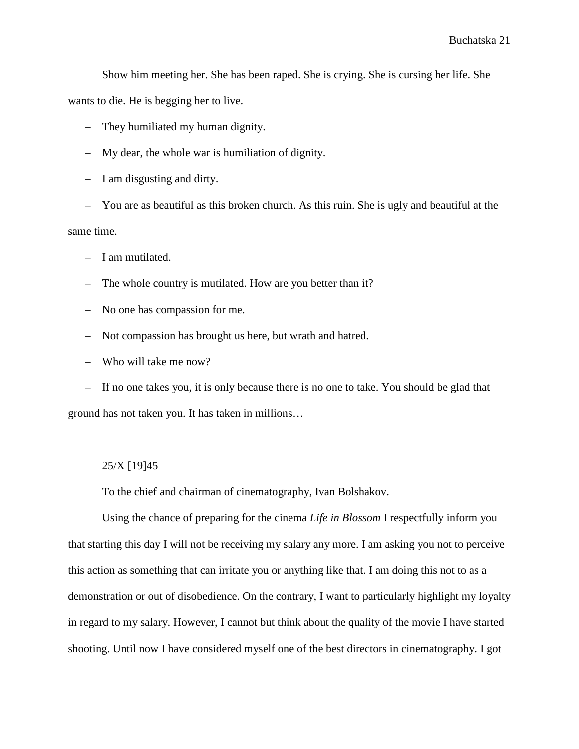Show him meeting her. She has been raped. She is crying. She is cursing her life. She wants to die. He is begging her to live.

- They humiliated my human dignity.
- My dear, the whole war is humiliation of dignity.
- I am disgusting and dirty.

– You are as beautiful as this broken church. As this ruin. She is ugly and beautiful at the same time.

- I am mutilated.
- The whole country is mutilated. How are you better than it?
- No one has compassion for me.
- Not compassion has brought us here, but wrath and hatred.
- Who will take me now?

– If no one takes you, it is only because there is no one to take. You should be glad that ground has not taken you. It has taken in millions…

#### 25/X [19]45

To the chief and chairman of cinematography, Ivan Bolshakov.

Using the chance of preparing for the cinema *Life in Blossom* I respectfully inform you that starting this day I will not be receiving my salary any more. I am asking you not to perceive this action as something that can irritate you or anything like that. I am doing this not to as a demonstration or out of disobedience. On the contrary, I want to particularly highlight my loyalty in regard to my salary. However, I cannot but think about the quality of the movie I have started shooting. Until now I have considered myself one of the best directors in cinematography. I got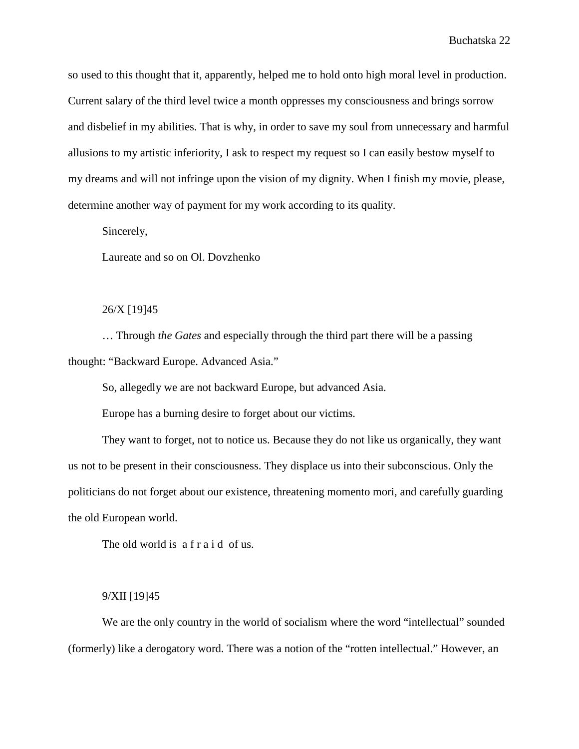so used to this thought that it, apparently, helped me to hold onto high moral level in production. Current salary of the third level twice a month oppresses my consciousness and brings sorrow and disbelief in my abilities. That is why, in order to save my soul from unnecessary and harmful allusions to my artistic inferiority, I ask to respect my request so I can easily bestow myself to my dreams and will not infringe upon the vision of my dignity. When I finish my movie, please, determine another way of payment for my work according to its quality.

Sincerely,

Laureate and so on Ol. Dovzhenko

#### 26/X [19]45

… Through *the Gates* and especially through the third part there will be a passing thought: "Backward Europe. Advanced Asia."

So, allegedly we are not backward Europe, but advanced Asia.

Europe has a burning desire to forget about our victims.

They want to forget, not to notice us. Because they do not like us organically, they want us not to be present in their consciousness. They displace us into their subconscious. Only the politicians do not forget about our existence, threatening momento mori, and carefully guarding the old European world.

The old world is a f r a i d of us.

#### 9/XII [19]45

We are the only country in the world of socialism where the word "intellectual" sounded (formerly) like a derogatory word. There was a notion of the "rotten intellectual." However, an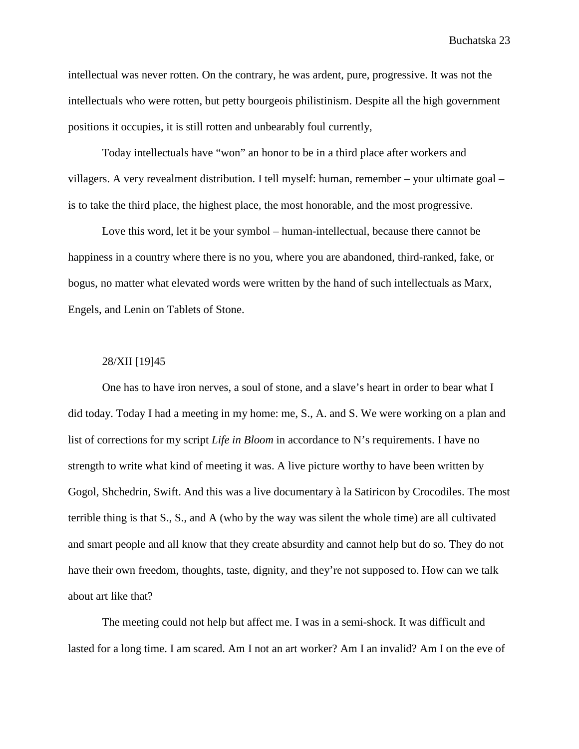intellectual was never rotten. On the contrary, he was ardent, pure, progressive. It was not the intellectuals who were rotten, but petty bourgeois philistinism. Despite all the high government positions it occupies, it is still rotten and unbearably foul currently,

Today intellectuals have "won" an honor to be in a third place after workers and villagers. A very revealment distribution. I tell myself: human, remember – your ultimate goal – is to take the third place, the highest place, the most honorable, and the most progressive.

Love this word, let it be your symbol – human-intellectual, because there cannot be happiness in a country where there is no you, where you are abandoned, third-ranked, fake, or bogus, no matter what elevated words were written by the hand of such intellectuals as Marx, Engels, and Lenin on Tablets of Stone.

## 28/XII [19]45

One has to have iron nerves, a soul of stone, and a slave's heart in order to bear what I did today. Today I had a meeting in my home: me, S., A. and S. We were working on a plan and list of corrections for my script *Life in Bloom* in accordance to N's requirements. I have no strength to write what kind of meeting it was. A live picture worthy to have been written by Gogol, Shchedrin, Swift. And this was a live documentary à la Satiricon by Crocodiles. The most terrible thing is that S., S., and A (who by the way was silent the whole time) are all cultivated and smart people and all know that they create absurdity and cannot help but do so. They do not have their own freedom, thoughts, taste, dignity, and they're not supposed to. How can we talk about art like that?

The meeting could not help but affect me. I was in a semi-shock. It was difficult and lasted for a long time. I am scared. Am I not an art worker? Am I an invalid? Am I on the eve of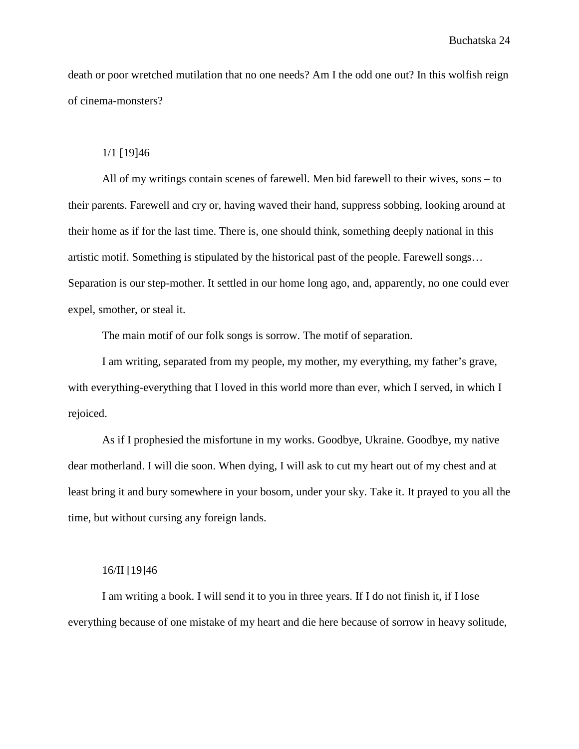death or poor wretched mutilation that no one needs? Am I the odd one out? In this wolfish reign of cinema-monsters?

#### 1/1 [19]46

All of my writings contain scenes of farewell. Men bid farewell to their wives, sons – to their parents. Farewell and cry or, having waved their hand, suppress sobbing, looking around at their home as if for the last time. There is, one should think, something deeply national in this artistic motif. Something is stipulated by the historical past of the people. Farewell songs… Separation is our step-mother. It settled in our home long ago, and, apparently, no one could ever expel, smother, or steal it.

The main motif of our folk songs is sorrow. The motif of separation.

I am writing, separated from my people, my mother, my everything, my father's grave, with everything-everything that I loved in this world more than ever, which I served, in which I rejoiced.

As if I prophesied the misfortune in my works. Goodbye, Ukraine. Goodbye, my native dear motherland. I will die soon. When dying, I will ask to cut my heart out of my chest and at least bring it and bury somewhere in your bosom, under your sky. Take it. It prayed to you all the time, but without cursing any foreign lands.

#### 16/II [19]46

I am writing a book. I will send it to you in three years. If I do not finish it, if I lose everything because of one mistake of my heart and die here because of sorrow in heavy solitude,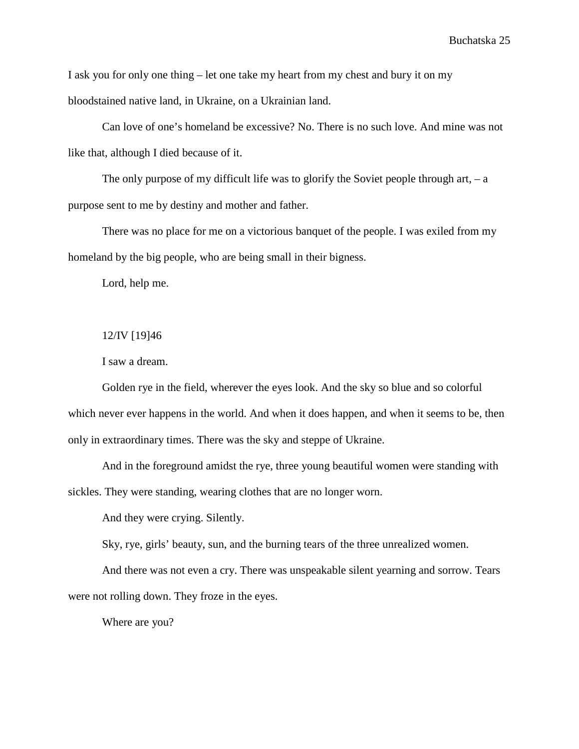I ask you for only one thing – let one take my heart from my chest and bury it on my bloodstained native land, in Ukraine, on a Ukrainian land.

Can love of one's homeland be excessive? No. There is no such love. And mine was not like that, although I died because of it.

The only purpose of my difficult life was to glorify the Soviet people through art,  $-$  a purpose sent to me by destiny and mother and father.

There was no place for me on a victorious banquet of the people. I was exiled from my homeland by the big people, who are being small in their bigness.

Lord, help me.

12/IV [19]46

I saw a dream.

Golden rye in the field, wherever the eyes look. And the sky so blue and so colorful which never ever happens in the world. And when it does happen, and when it seems to be, then only in extraordinary times. There was the sky and steppe of Ukraine.

And in the foreground amidst the rye, three young beautiful women were standing with sickles. They were standing, wearing clothes that are no longer worn.

And they were crying. Silently.

Sky, rye, girls' beauty, sun, and the burning tears of the three unrealized women.

And there was not even a cry. There was unspeakable silent yearning and sorrow. Tears were not rolling down. They froze in the eyes.

Where are you?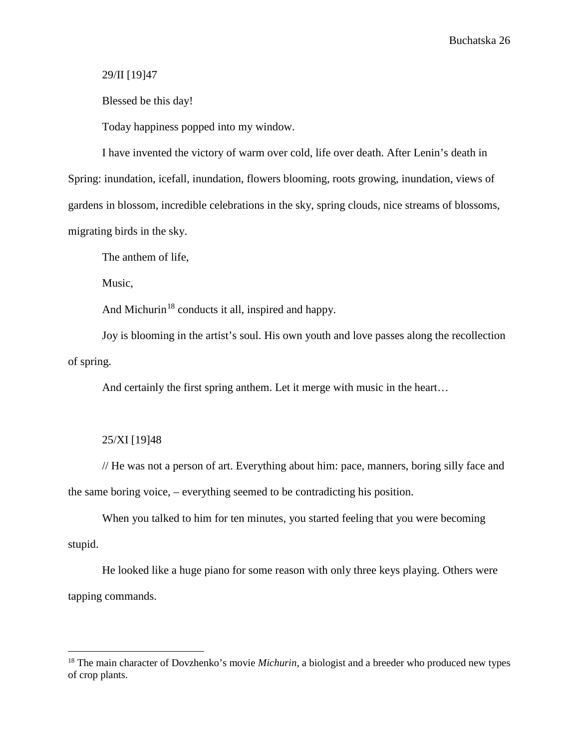## 29/II [19]47

Blessed be this day!

Today happiness popped into my window.

I have invented the victory of warm over cold, life over death. After Lenin's death in Spring: inundation, icefall, inundation, flowers blooming, roots growing, inundation, views of gardens in blossom, incredible celebrations in the sky, spring clouds, nice streams of blossoms, migrating birds in the sky.

The anthem of life,

Music,

And Michurin<sup>[18](#page-27-0)</sup> conducts it all, inspired and happy.

Joy is blooming in the artist's soul. His own youth and love passes along the recollection of spring.

And certainly the first spring anthem. Let it merge with music in the heart…

## 25/XI [19]48

 $\overline{a}$ 

// He was not a person of art. Everything about him: pace, manners, boring silly face and the same boring voice, – everything seemed to be contradicting his position.

When you talked to him for ten minutes, you started feeling that you were becoming stupid.

He looked like a huge piano for some reason with only three keys playing. Others were tapping commands.

<span id="page-27-0"></span><sup>&</sup>lt;sup>18</sup> The main character of Dovzhenko's movie *Michurin*, a biologist and a breeder who produced new types of crop plants.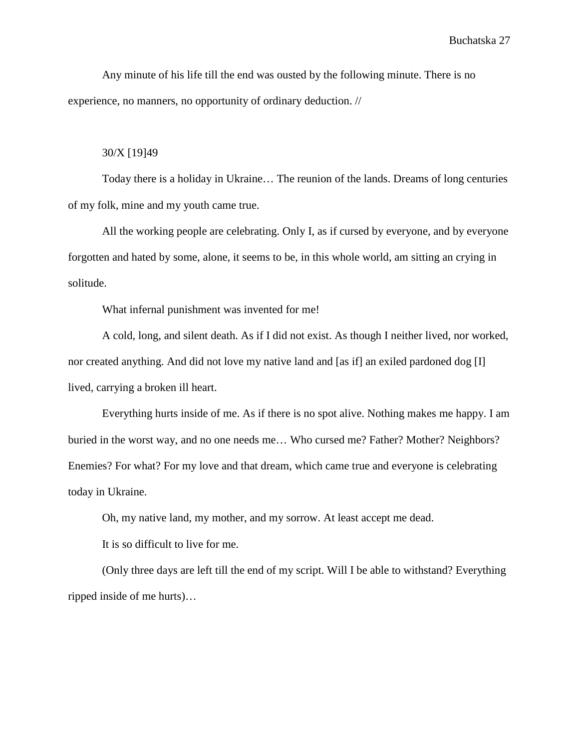Any minute of his life till the end was ousted by the following minute. There is no experience, no manners, no opportunity of ordinary deduction. //

#### 30/X [19]49

Today there is a holiday in Ukraine… The reunion of the lands. Dreams of long centuries of my folk, mine and my youth came true.

All the working people are celebrating. Only I, as if cursed by everyone, and by everyone forgotten and hated by some, alone, it seems to be, in this whole world, am sitting an crying in solitude.

What infernal punishment was invented for me!

A cold, long, and silent death. As if I did not exist. As though I neither lived, nor worked, nor created anything. And did not love my native land and [as if] an exiled pardoned dog [I] lived, carrying a broken ill heart.

Everything hurts inside of me. As if there is no spot alive. Nothing makes me happy. I am buried in the worst way, and no one needs me… Who cursed me? Father? Mother? Neighbors? Enemies? For what? For my love and that dream, which came true and everyone is celebrating today in Ukraine.

Oh, my native land, my mother, and my sorrow. At least accept me dead.

It is so difficult to live for me.

(Only three days are left till the end of my script. Will I be able to withstand? Everything ripped inside of me hurts)…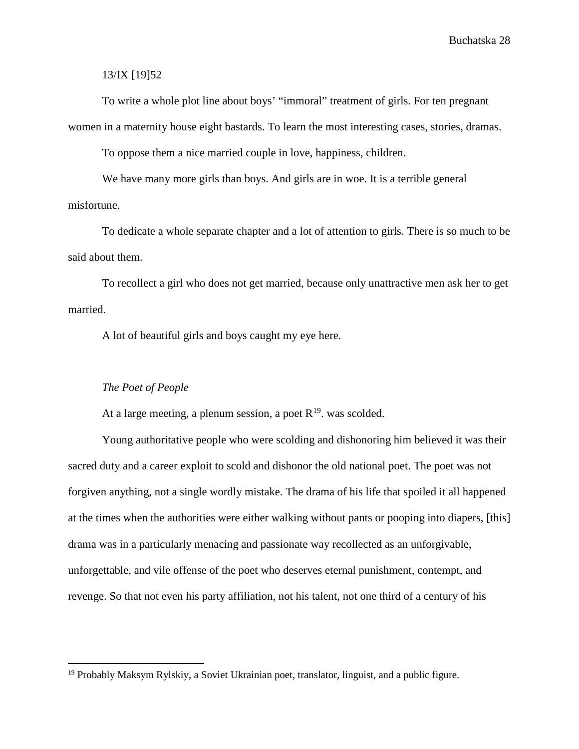13/IX [19]52

To write a whole plot line about boys' "immoral" treatment of girls. For ten pregnant women in a maternity house eight bastards. To learn the most interesting cases, stories, dramas.

To oppose them a nice married couple in love, happiness, children.

We have many more girls than boys. And girls are in woe. It is a terrible general misfortune.

To dedicate a whole separate chapter and a lot of attention to girls. There is so much to be said about them.

To recollect a girl who does not get married, because only unattractive men ask her to get married.

A lot of beautiful girls and boys caught my eye here.

#### *The Poet of People*

 $\overline{a}$ 

At a large meeting, a plenum session, a poet  $R^{19}$ , was scolded.

Young authoritative people who were scolding and dishonoring him believed it was their sacred duty and a career exploit to scold and dishonor the old national poet. The poet was not forgiven anything, not a single wordly mistake. The drama of his life that spoiled it all happened at the times when the authorities were either walking without pants or pooping into diapers, [this] drama was in a particularly menacing and passionate way recollected as an unforgivable, unforgettable, and vile offense of the poet who deserves eternal punishment, contempt, and revenge. So that not even his party affiliation, not his talent, not one third of a century of his

<span id="page-29-0"></span> $19$  Probably Maksym Rylskiy, a Soviet Ukrainian poet, translator, linguist, and a public figure.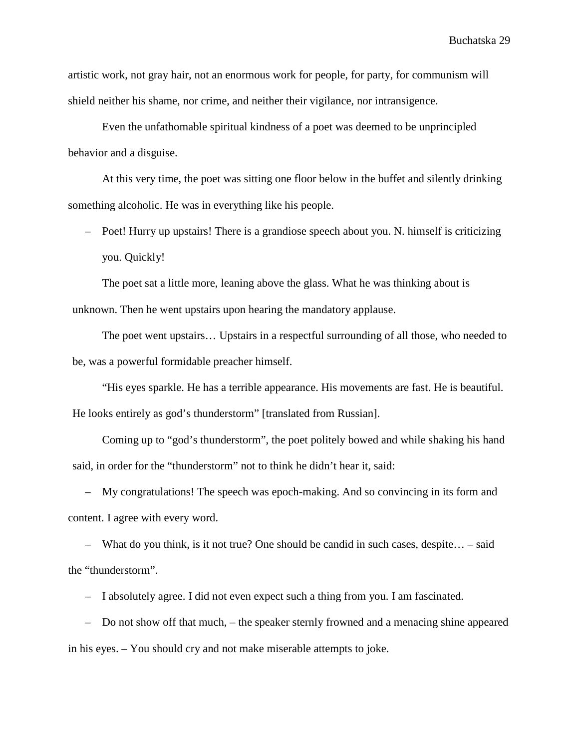artistic work, not gray hair, not an enormous work for people, for party, for communism will shield neither his shame, nor crime, and neither their vigilance, nor intransigence.

Even the unfathomable spiritual kindness of a poet was deemed to be unprincipled behavior and a disguise.

At this very time, the poet was sitting one floor below in the buffet and silently drinking something alcoholic. He was in everything like his people.

– Poet! Hurry up upstairs! There is a grandiose speech about you. N. himself is criticizing you. Quickly!

The poet sat a little more, leaning above the glass. What he was thinking about is unknown. Then he went upstairs upon hearing the mandatory applause.

The poet went upstairs… Upstairs in a respectful surrounding of all those, who needed to be, was a powerful formidable preacher himself.

"His eyes sparkle. He has a terrible appearance. His movements are fast. He is beautiful. He looks entirely as god's thunderstorm" [translated from Russian].

Coming up to "god's thunderstorm", the poet politely bowed and while shaking his hand said, in order for the "thunderstorm" not to think he didn't hear it, said:

– My congratulations! The speech was epoch-making. And so convincing in its form and content. I agree with every word.

– What do you think, is it not true? One should be candid in such cases, despite… – said the "thunderstorm".

– I absolutely agree. I did not even expect such a thing from you. I am fascinated.

– Do not show off that much, – the speaker sternly frowned and a menacing shine appeared in his eyes. – You should cry and not make miserable attempts to joke.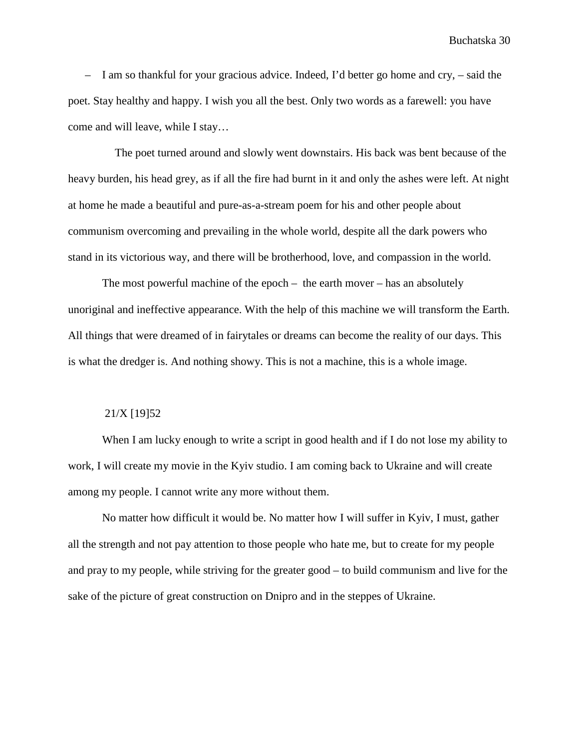– I am so thankful for your gracious advice. Indeed, I'd better go home and cry, – said the poet. Stay healthy and happy. I wish you all the best. Only two words as a farewell: you have come and will leave, while I stay…

The poet turned around and slowly went downstairs. His back was bent because of the heavy burden, his head grey, as if all the fire had burnt in it and only the ashes were left. At night at home he made a beautiful and pure-as-a-stream poem for his and other people about communism overcoming and prevailing in the whole world, despite all the dark powers who stand in its victorious way, and there will be brotherhood, love, and compassion in the world.

The most powerful machine of the epoch – the earth mover – has an absolutely unoriginal and ineffective appearance. With the help of this machine we will transform the Earth. All things that were dreamed of in fairytales or dreams can become the reality of our days. This is what the dredger is. And nothing showy. This is not a machine, this is a whole image.

## 21/X [19]52

When I am lucky enough to write a script in good health and if I do not lose my ability to work, I will create my movie in the Kyiv studio. I am coming back to Ukraine and will create among my people. I cannot write any more without them.

No matter how difficult it would be. No matter how I will suffer in Kyiv, I must, gather all the strength and not pay attention to those people who hate me, but to create for my people and pray to my people, while striving for the greater good – to build communism and live for the sake of the picture of great construction on Dnipro and in the steppes of Ukraine.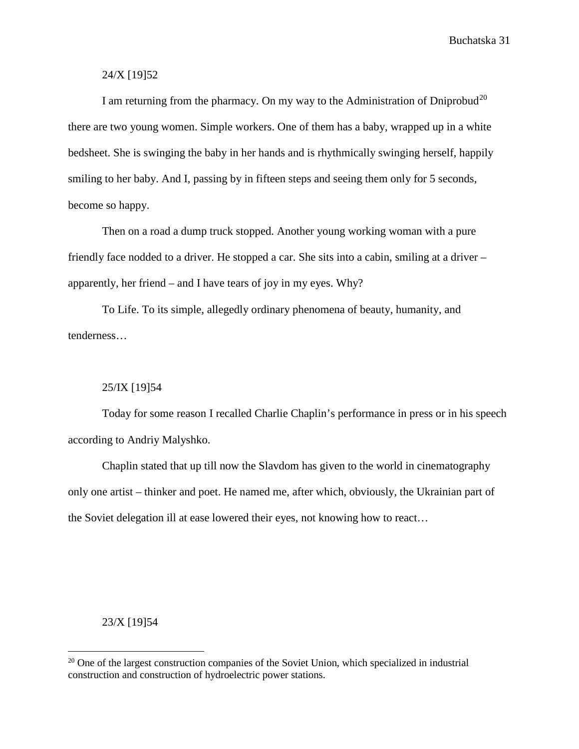## 24/X [19]52

I am returning from the pharmacy. On my way to the Administration of Dniprobud<sup>[20](#page-32-0)</sup> there are two young women. Simple workers. One of them has a baby, wrapped up in a white bedsheet. She is swinging the baby in her hands and is rhythmically swinging herself, happily smiling to her baby. And I, passing by in fifteen steps and seeing them only for 5 seconds, become so happy.

Then on a road a dump truck stopped. Another young working woman with a pure friendly face nodded to a driver. He stopped a car. She sits into a cabin, smiling at a driver – apparently, her friend – and I have tears of joy in my eyes. Why?

To Life. To its simple, allegedly ordinary phenomena of beauty, humanity, and tenderness…

## 25/IX [19]54

Today for some reason I recalled Charlie Chaplin's performance in press or in his speech according to Andriy Malyshko.

Chaplin stated that up till now the Slavdom has given to the world in cinematography only one artist – thinker and poet. He named me, after which, obviously, the Ukrainian part of the Soviet delegation ill at ease lowered their eyes, not knowing how to react…

## 23/X [19]54

 $\overline{a}$ 

<span id="page-32-0"></span> $20$  One of the largest construction companies of the Soviet Union, which specialized in industrial construction and construction of hydroelectric power stations.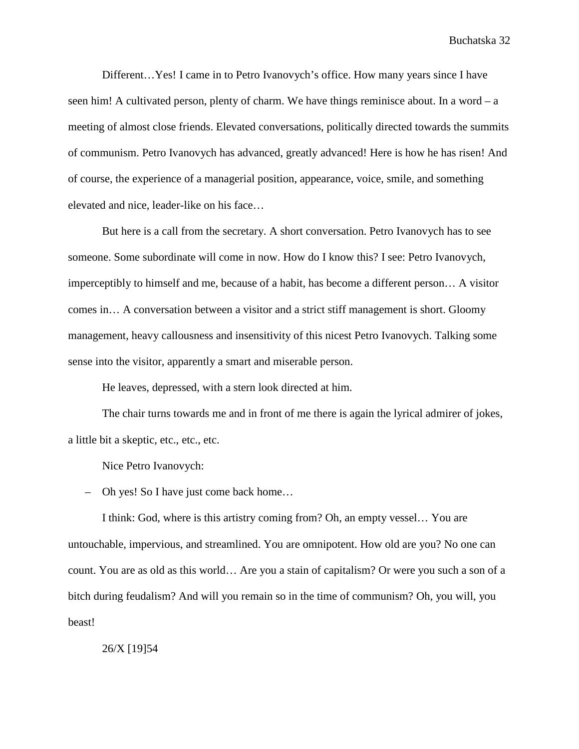Different…Yes! I came in to Petro Ivanovych's office. How many years since I have seen him! A cultivated person, plenty of charm. We have things reminisce about. In a word – a meeting of almost close friends. Elevated conversations, politically directed towards the summits of communism. Petro Ivanovych has advanced, greatly advanced! Here is how he has risen! And of course, the experience of a managerial position, appearance, voice, smile, and something elevated and nice, leader-like on his face…

But here is a call from the secretary. A short conversation. Petro Ivanovych has to see someone. Some subordinate will come in now. How do I know this? I see: Petro Ivanovych, imperceptibly to himself and me, because of a habit, has become a different person… A visitor comes in… A conversation between a visitor and a strict stiff management is short. Gloomy management, heavy callousness and insensitivity of this nicest Petro Ivanovych. Talking some sense into the visitor, apparently a smart and miserable person.

He leaves, depressed, with a stern look directed at him.

The chair turns towards me and in front of me there is again the lyrical admirer of jokes, a little bit a skeptic, etc., etc., etc.

Nice Petro Ivanovych:

– Oh yes! So I have just come back home…

I think: God, where is this artistry coming from? Oh, an empty vessel… You are untouchable, impervious, and streamlined. You are omnipotent. How old are you? No one can count. You are as old as this world… Are you a stain of capitalism? Or were you such a son of a bitch during feudalism? And will you remain so in the time of communism? Oh, you will, you beast!

26/X [19]54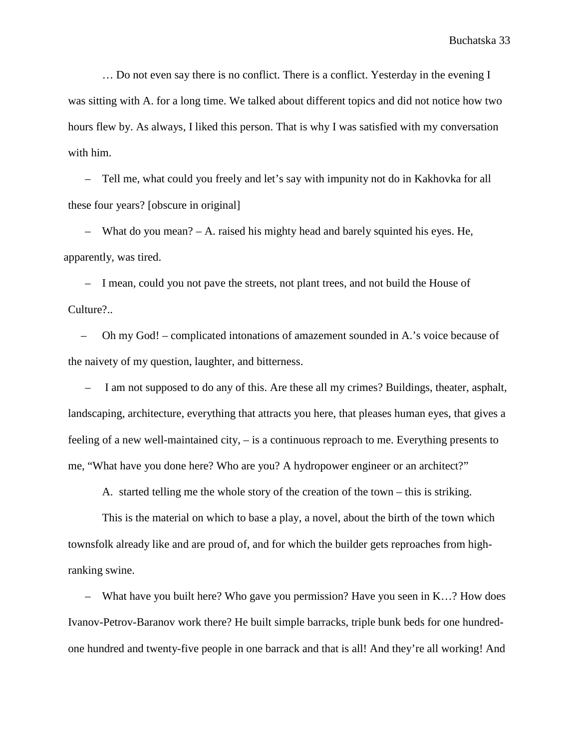… Do not even say there is no conflict. There is a conflict. Yesterday in the evening I was sitting with A. for a long time. We talked about different topics and did not notice how two hours flew by. As always, I liked this person. That is why I was satisfied with my conversation with him.

– Tell me, what could you freely and let's say with impunity not do in Kakhovka for all these four years? [obscure in original]

– What do you mean? – A. raised his mighty head and barely squinted his eyes. He, apparently, was tired.

– I mean, could you not pave the streets, not plant trees, and not build the House of Culture?..

– Oh my God! – complicated intonations of amazement sounded in A.'s voice because of the naivety of my question, laughter, and bitterness.

– I am not supposed to do any of this. Are these all my crimes? Buildings, theater, asphalt, landscaping, architecture, everything that attracts you here, that pleases human eyes, that gives a feeling of a new well-maintained city, – is a continuous reproach to me. Everything presents to me, "What have you done here? Who are you? A hydropower engineer or an architect?"

A. started telling me the whole story of the creation of the town – this is striking.

This is the material on which to base a play, a novel, about the birth of the town which townsfolk already like and are proud of, and for which the builder gets reproaches from highranking swine.

– What have you built here? Who gave you permission? Have you seen in K…? How does Ivanov-Petrov-Baranov work there? He built simple barracks, triple bunk beds for one hundredone hundred and twenty-five people in one barrack and that is all! And they're all working! And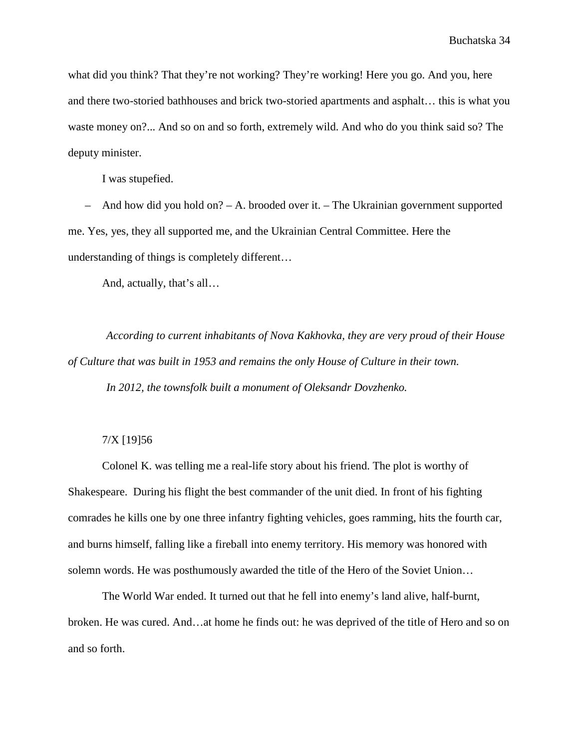what did you think? That they're not working? They're working! Here you go. And you, here and there two-storied bathhouses and brick two-storied apartments and asphalt… this is what you waste money on?... And so on and so forth, extremely wild. And who do you think said so? The deputy minister.

I was stupefied.

– And how did you hold on? – A. brooded over it. – The Ukrainian government supported me. Yes, yes, they all supported me, and the Ukrainian Central Committee. Here the understanding of things is completely different…

And, actually, that's all…

*According to current inhabitants of Nova Kakhovka, they are very proud of their House of Culture that was built in 1953 and remains the only House of Culture in their town. In 2012, the townsfolk built a monument of Oleksandr Dovzhenko.* 

## 7/X [19]56

Colonel K. was telling me a real-life story about his friend. The plot is worthy of Shakespeare. During his flight the best commander of the unit died. In front of his fighting comrades he kills one by one three infantry fighting vehicles, goes ramming, hits the fourth car, and burns himself, falling like a fireball into enemy territory. His memory was honored with solemn words. He was posthumously awarded the title of the Hero of the Soviet Union…

The World War ended. It turned out that he fell into enemy's land alive, half-burnt, broken. He was cured. And…at home he finds out: he was deprived of the title of Hero and so on and so forth.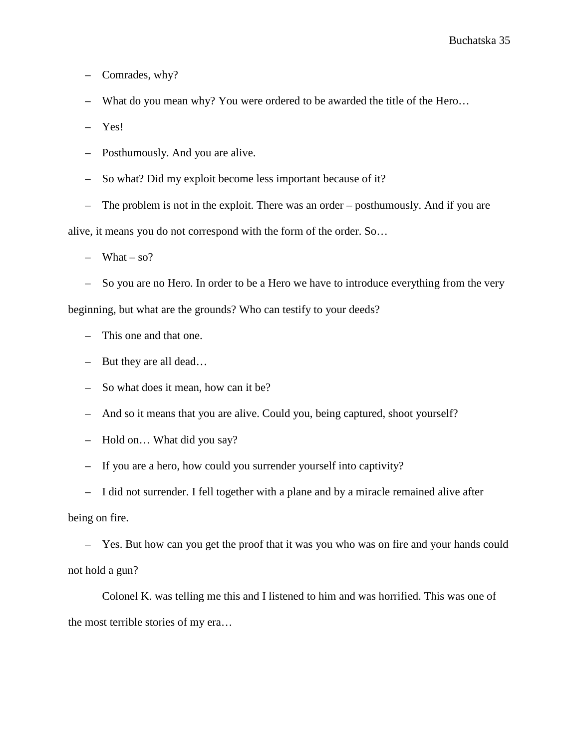– Comrades, why?

– What do you mean why? You were ordered to be awarded the title of the Hero…

– Yes!

– Posthumously. And you are alive.

– So what? Did my exploit become less important because of it?

– The problem is not in the exploit. There was an order – posthumously. And if you are

alive, it means you do not correspond with the form of the order. So…

 $-$  What  $-$  so?

– So you are no Hero. In order to be a Hero we have to introduce everything from the very beginning, but what are the grounds? Who can testify to your deeds?

- This one and that one.
- But they are all dead…
- So what does it mean, how can it be?
- And so it means that you are alive. Could you, being captured, shoot yourself?
- Hold on… What did you say?
- If you are a hero, how could you surrender yourself into captivity?
- I did not surrender. I fell together with a plane and by a miracle remained alive after

being on fire.

– Yes. But how can you get the proof that it was you who was on fire and your hands could not hold a gun?

Colonel K. was telling me this and I listened to him and was horrified. This was one of the most terrible stories of my era…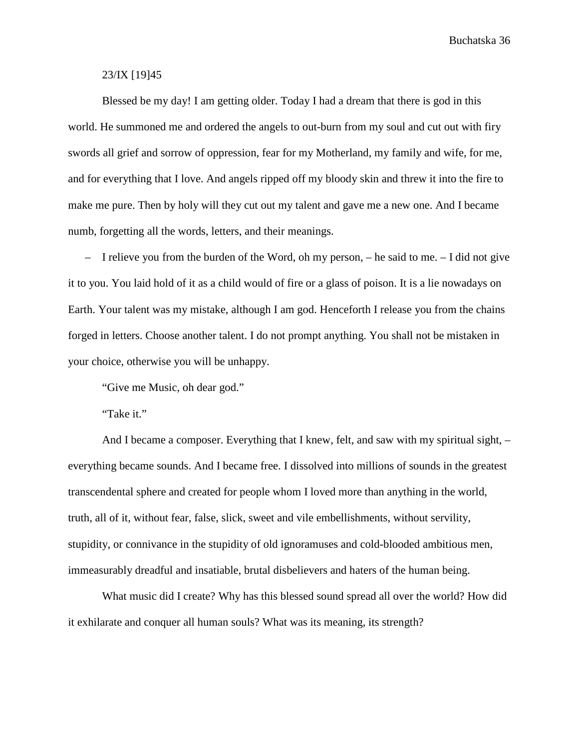## 23/IX [19]45

Blessed be my day! I am getting older. Today I had a dream that there is god in this world. He summoned me and ordered the angels to out-burn from my soul and cut out with firy swords all grief and sorrow of oppression, fear for my Motherland, my family and wife, for me, and for everything that I love. And angels ripped off my bloody skin and threw it into the fire to make me pure. Then by holy will they cut out my talent and gave me a new one. And I became numb, forgetting all the words, letters, and their meanings.

 $-$  I relieve you from the burden of the Word, oh my person,  $-$  he said to me.  $-$  I did not give it to you. You laid hold of it as a child would of fire or a glass of poison. It is a lie nowadays on Earth. Your talent was my mistake, although I am god. Henceforth I release you from the chains forged in letters. Choose another talent. I do not prompt anything. You shall not be mistaken in your choice, otherwise you will be unhappy.

"Give me Music, oh dear god."

"Take it."

And I became a composer. Everything that I knew, felt, and saw with my spiritual sight, – everything became sounds. And I became free. I dissolved into millions of sounds in the greatest transcendental sphere and created for people whom I loved more than anything in the world, truth, all of it, without fear, false, slick, sweet and vile embellishments, without servility, stupidity, or connivance in the stupidity of old ignoramuses and cold-blooded ambitious men, immeasurably dreadful and insatiable, brutal disbelievers and haters of the human being.

What music did I create? Why has this blessed sound spread all over the world? How did it exhilarate and conquer all human souls? What was its meaning, its strength?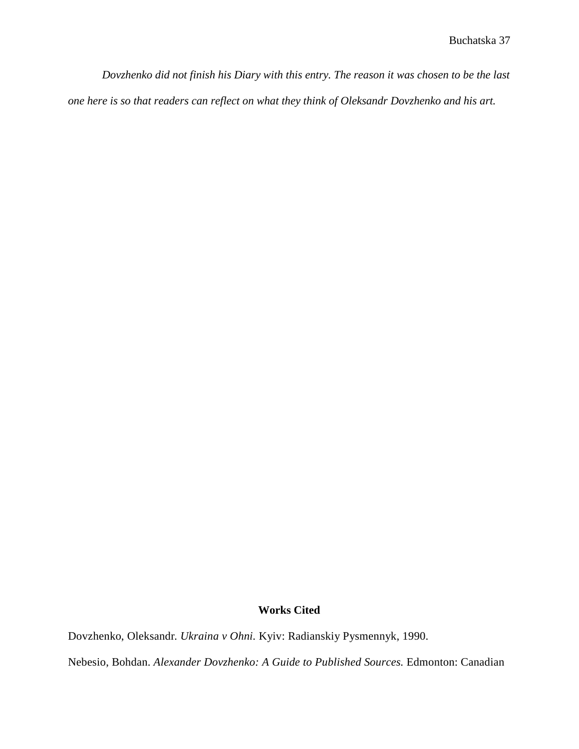*Dovzhenko did not finish his Diary with this entry. The reason it was chosen to be the last one here is so that readers can reflect on what they think of Oleksandr Dovzhenko and his art.* 

## **Works Cited**

Dovzhenko, Oleksandr*. Ukraina v Ohni.* Kyiv: Radianskiy Pysmennyk, 1990.

Nebesio, Bohdan. *Alexander Dovzhenko: A Guide to Published Sources.* Edmonton: Canadian